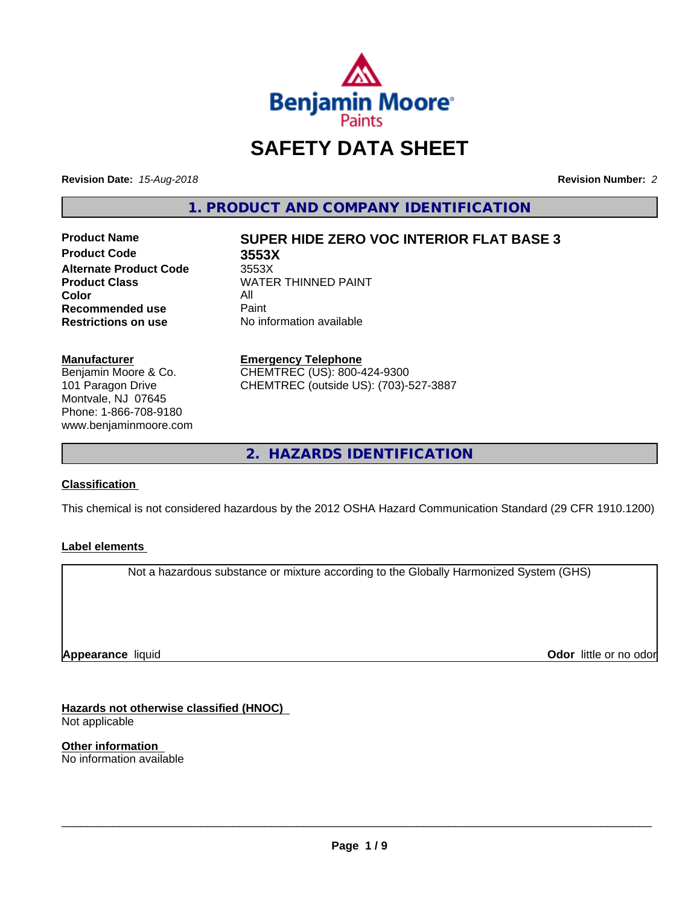

# **SAFETY DATA SHEET**

**Revision Date:** *15-Aug-2018* **Revision Number:** *2*

**1. PRODUCT AND COMPANY IDENTIFICATION**

**Product Code 3553X Alternate Product Code** 3553X<br> **Product Class** WATEI **Color** All<br> **Recommended use** Paint **Recommended use**<br>Restrictions on use

# **Product Name SUPER HIDE ZERO VOC INTERIOR FLAT BASE 3**

**WATER THINNED PAINT No information available** 

#### **Manufacturer**

Benjamin Moore & Co. 101 Paragon Drive Montvale, NJ 07645 Phone: 1-866-708-9180 www.benjaminmoore.com

#### **Emergency Telephone** CHEMTREC (US): 800-424-9300 CHEMTREC (outside US): (703)-527-3887

**2. HAZARDS IDENTIFICATION**

#### **Classification**

This chemical is not considered hazardous by the 2012 OSHA Hazard Communication Standard (29 CFR 1910.1200)

#### **Label elements**

Not a hazardous substance or mixture according to the Globally Harmonized System (GHS)

**Appearance** liquid

**Odor** little or no odor

**Hazards not otherwise classified (HNOC)** Not applicable

**Other information** No information available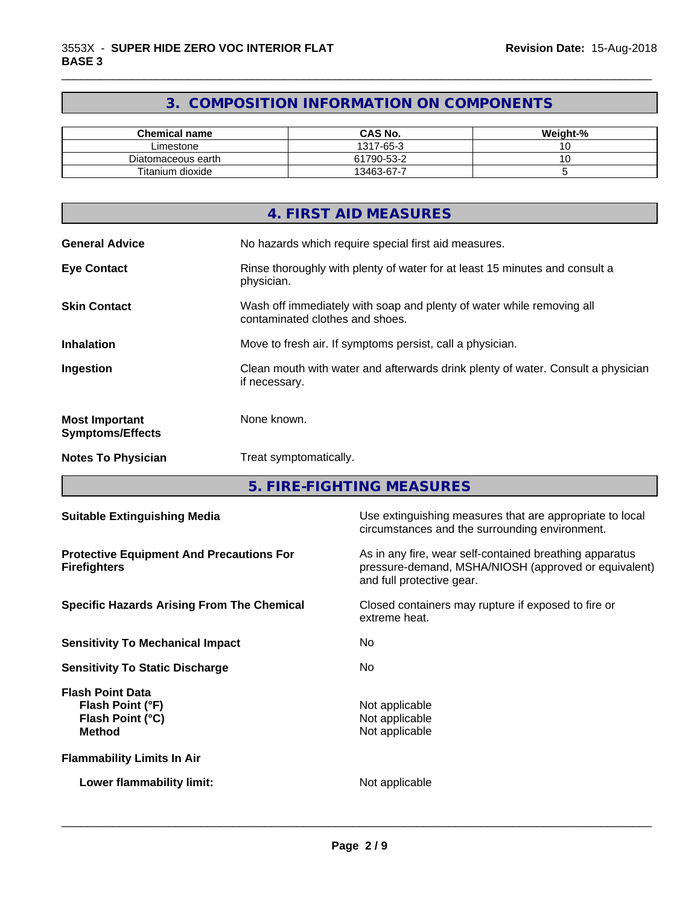# **3. COMPOSITION INFORMATION ON COMPONENTS**

\_\_\_\_\_\_\_\_\_\_\_\_\_\_\_\_\_\_\_\_\_\_\_\_\_\_\_\_\_\_\_\_\_\_\_\_\_\_\_\_\_\_\_\_\_\_\_\_\_\_\_\_\_\_\_\_\_\_\_\_\_\_\_\_\_\_\_\_\_\_\_\_\_\_\_\_\_\_\_\_\_\_\_\_\_\_\_\_\_\_\_\_\_

| <b>Chemical name</b> | <b>CAS No.</b> | Weight-% |
|----------------------|----------------|----------|
| ∟imestone            | 1317-65-3      | ັ        |
| Diatomaceous earth   | 61790-53-2     | ~        |
| Titanium dioxide     | 13463-67-7     |          |

|                                                  | 4. FIRST AID MEASURES                                                                                    |
|--------------------------------------------------|----------------------------------------------------------------------------------------------------------|
| <b>General Advice</b>                            | No hazards which require special first aid measures.                                                     |
| <b>Eye Contact</b>                               | Rinse thoroughly with plenty of water for at least 15 minutes and consult a<br>physician.                |
| <b>Skin Contact</b>                              | Wash off immediately with soap and plenty of water while removing all<br>contaminated clothes and shoes. |
| <b>Inhalation</b>                                | Move to fresh air. If symptoms persist, call a physician.                                                |
| Ingestion                                        | Clean mouth with water and afterwards drink plenty of water. Consult a physician<br>if necessary.        |
| <b>Most Important</b><br><b>Symptoms/Effects</b> | None known.                                                                                              |
| <b>Notes To Physician</b>                        | Treat symptomatically.                                                                                   |

**5. FIRE-FIGHTING MEASURES**

| <b>Suitable Extinguishing Media</b>                                              | Use extinguishing measures that are appropriate to local<br>circumstances and the surrounding environment.                                   |  |
|----------------------------------------------------------------------------------|----------------------------------------------------------------------------------------------------------------------------------------------|--|
| <b>Protective Equipment And Precautions For</b><br><b>Firefighters</b>           | As in any fire, wear self-contained breathing apparatus<br>pressure-demand, MSHA/NIOSH (approved or equivalent)<br>and full protective gear. |  |
| <b>Specific Hazards Arising From The Chemical</b>                                | Closed containers may rupture if exposed to fire or<br>extreme heat.                                                                         |  |
| <b>Sensitivity To Mechanical Impact</b>                                          | No.                                                                                                                                          |  |
| <b>Sensitivity To Static Discharge</b>                                           | No.                                                                                                                                          |  |
| <b>Flash Point Data</b><br>Flash Point (°F)<br>Flash Point (°C)<br><b>Method</b> | Not applicable<br>Not applicable<br>Not applicable                                                                                           |  |
| <b>Flammability Limits In Air</b>                                                |                                                                                                                                              |  |
| Lower flammability limit:                                                        | Not applicable                                                                                                                               |  |
|                                                                                  |                                                                                                                                              |  |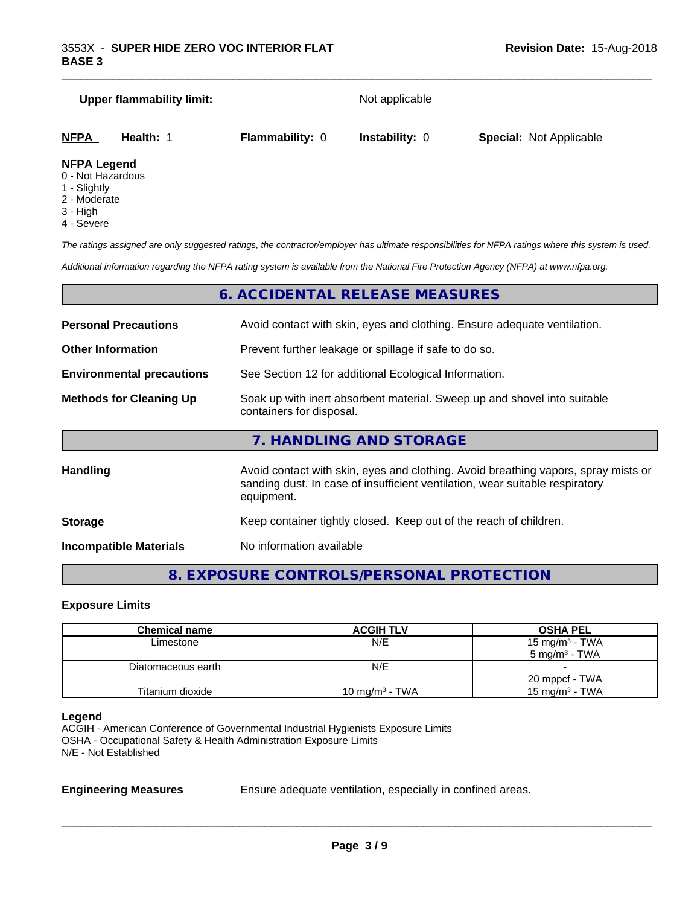# **Upper flammability limit:** Not applicable **NFPA Health:** 1 **Flammability:** 0 **Instability:** 0 **Special:** Not Applicable

\_\_\_\_\_\_\_\_\_\_\_\_\_\_\_\_\_\_\_\_\_\_\_\_\_\_\_\_\_\_\_\_\_\_\_\_\_\_\_\_\_\_\_\_\_\_\_\_\_\_\_\_\_\_\_\_\_\_\_\_\_\_\_\_\_\_\_\_\_\_\_\_\_\_\_\_\_\_\_\_\_\_\_\_\_\_\_\_\_\_\_\_\_

#### **NFPA Legend**

- 0 Not Hazardous
- 1 Slightly
- 2 Moderate
- 3 High
- 4 Severe

*The ratings assigned are only suggested ratings, the contractor/employer has ultimate responsibilities for NFPA ratings where this system is used.*

*Additional information regarding the NFPA rating system is available from the National Fire Protection Agency (NFPA) at www.nfpa.org.*

# **6. ACCIDENTAL RELEASE MEASURES**

| <b>Personal Precautions</b>      | Avoid contact with skin, eyes and clothing. Ensure adequate ventilation.                                                                                                         |  |
|----------------------------------|----------------------------------------------------------------------------------------------------------------------------------------------------------------------------------|--|
| <b>Other Information</b>         | Prevent further leakage or spillage if safe to do so.                                                                                                                            |  |
| <b>Environmental precautions</b> | See Section 12 for additional Ecological Information.                                                                                                                            |  |
| <b>Methods for Cleaning Up</b>   | Soak up with inert absorbent material. Sweep up and shovel into suitable<br>containers for disposal.                                                                             |  |
|                                  | 7. HANDLING AND STORAGE                                                                                                                                                          |  |
| Handling                         | Avoid contact with skin, eyes and clothing. Avoid breathing vapors, spray mists or<br>sanding dust. In case of insufficient ventilation, wear suitable respiratory<br>equipment. |  |
| <b>Storage</b>                   | Keep container tightly closed. Keep out of the reach of children.                                                                                                                |  |

**Incompatible Materials** No information available

# **8. EXPOSURE CONTROLS/PERSONAL PROTECTION**

#### **Exposure Limits**

| <b>Chemical name</b> | <b>ACGIH TLV</b>  | <b>OSHA PEL</b>            |
|----------------------|-------------------|----------------------------|
| Limestone            | N/E               | 15 mg/m <sup>3</sup> - TWA |
|                      |                   | $5 \text{ mg/m}^3$ - TWA   |
| Diatomaceous earth   | N/E               |                            |
|                      |                   | 20 mppcf - TWA             |
| Titanium dioxide     | 10 mg/m $3$ - TWA | 15 mg/m $3$ - TWA          |

#### **Legend**

ACGIH - American Conference of Governmental Industrial Hygienists Exposure Limits OSHA - Occupational Safety & Health Administration Exposure Limits N/E - Not Established

**Engineering Measures** Ensure adequate ventilation, especially in confined areas.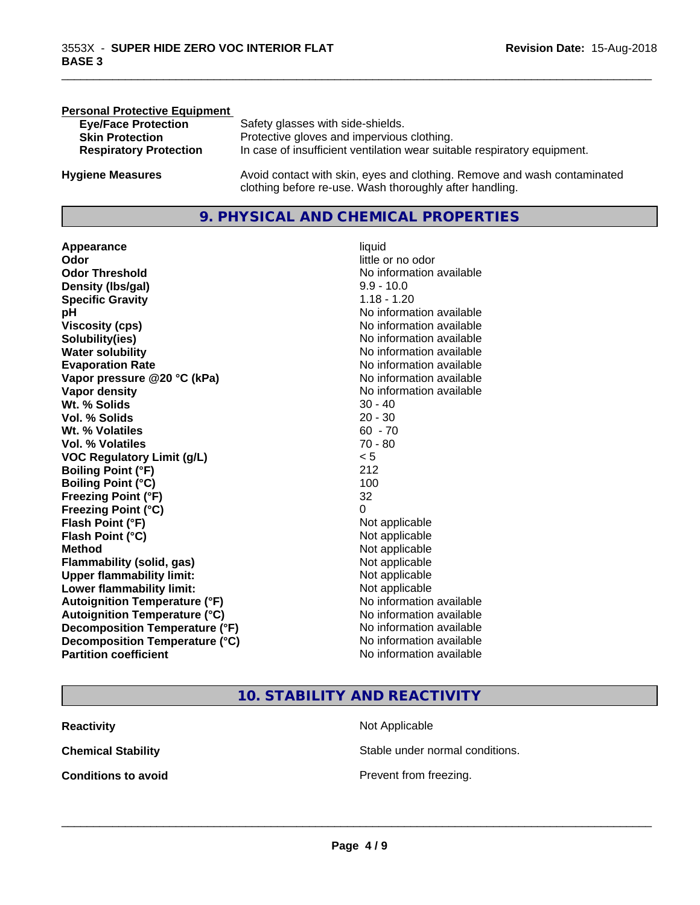| <b>Personal Protective Equipment</b> |                                                                                                                                     |
|--------------------------------------|-------------------------------------------------------------------------------------------------------------------------------------|
| <b>Eye/Face Protection</b>           | Safety glasses with side-shields.                                                                                                   |
| <b>Skin Protection</b>               | Protective gloves and impervious clothing.                                                                                          |
| <b>Respiratory Protection</b>        | In case of insufficient ventilation wear suitable respiratory equipment.                                                            |
| <b>Hygiene Measures</b>              | Avoid contact with skin, eyes and clothing. Remove and wash contaminated<br>clothing before re-use. Wash thoroughly after handling. |

# **9. PHYSICAL AND CHEMICAL PROPERTIES**

**Appearance** liquid **Odor** little or no odor **Odor Threshold** No information available **Density (lbs/gal)** 9.9 - 10.0 **Specific Gravity** 1.18 - 1.20 **pH pH**  $\blacksquare$ **Viscosity (cps)** <br> **Viscosity (cps)** No information available<br>
No information available<br>
No information available **Solubility(ies)**<br> **No** information available<br> **Water solubility**<br> **Water solubility Evaporation Rate No information available No information available Vapor pressure @20 °C (kPa)** No information available **Vapor density**<br> **Vapor density**<br> **With % Solids**<br>
With % Solids  $30 - 40$ Wt. % Solids **Vol. % Solids** 20 - 30 **Wt. % Volatiles** 60 - 70 **Vol. % Volatiles** 70 - 80 **VOC Regulatory Limit (g/L)** < 5 **Boiling Point (°F) Boiling Point (°C)** 100 **Freezing Point (°F)** 32 **Freezing Point (°C)** 0 **Flash Point (°F)**<br> **Flash Point (°C)**<br> **Flash Point (°C)**<br> **C Flash Point (°C) Method** Not applicable Not applicable **Flammability (solid, gas)**<br> **Upper flammability limit:**<br>
Upper flammability limit:<br>  $\begin{array}{ccc}\n\bullet & \bullet & \bullet \\
\bullet & \bullet & \bullet\n\end{array}$ **Upper flammability limit: Lower flammability limit:** Not applicable **Autoignition Temperature (°F)** No information available **Autoignition Temperature (°C)** No information available **Decomposition Temperature (°F)** No information available<br> **Decomposition Temperature (°C)** No information available **Decomposition Temperature (°C)**<br>Partition coefficient

**No information available No information available** 

\_\_\_\_\_\_\_\_\_\_\_\_\_\_\_\_\_\_\_\_\_\_\_\_\_\_\_\_\_\_\_\_\_\_\_\_\_\_\_\_\_\_\_\_\_\_\_\_\_\_\_\_\_\_\_\_\_\_\_\_\_\_\_\_\_\_\_\_\_\_\_\_\_\_\_\_\_\_\_\_\_\_\_\_\_\_\_\_\_\_\_\_\_

**10. STABILITY AND REACTIVITY**

**Not Applicable** 

**Prevent from freezing.** 

 $\overline{\phantom{a}}$  ,  $\overline{\phantom{a}}$  ,  $\overline{\phantom{a}}$  ,  $\overline{\phantom{a}}$  ,  $\overline{\phantom{a}}$  ,  $\overline{\phantom{a}}$  ,  $\overline{\phantom{a}}$  ,  $\overline{\phantom{a}}$  ,  $\overline{\phantom{a}}$  ,  $\overline{\phantom{a}}$  ,  $\overline{\phantom{a}}$  ,  $\overline{\phantom{a}}$  ,  $\overline{\phantom{a}}$  ,  $\overline{\phantom{a}}$  ,  $\overline{\phantom{a}}$  ,  $\overline{\phantom{a}}$ 

Stable under normal conditions.

| Reactivity                 |  |
|----------------------------|--|
| Chemical Stability         |  |
| <b>Conditions to avoid</b> |  |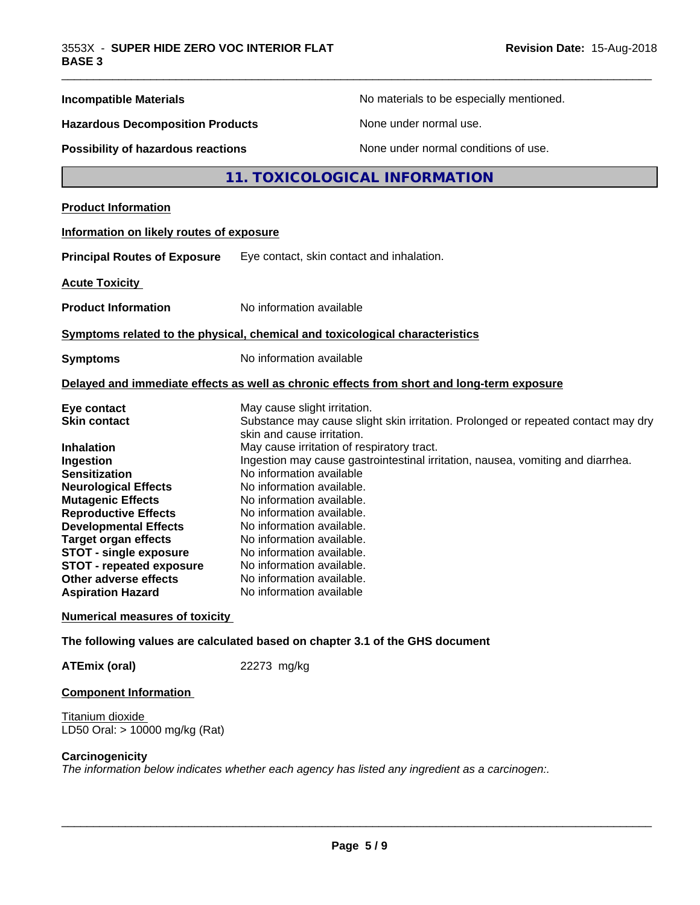| <b>Incompatible Materials</b>                                                                                                                                                                                                                                                                                                                                                         | No materials to be especially mentioned.                                                                                                                                                                                                                                                                                                                                                                                                                                                                                                                                         |
|---------------------------------------------------------------------------------------------------------------------------------------------------------------------------------------------------------------------------------------------------------------------------------------------------------------------------------------------------------------------------------------|----------------------------------------------------------------------------------------------------------------------------------------------------------------------------------------------------------------------------------------------------------------------------------------------------------------------------------------------------------------------------------------------------------------------------------------------------------------------------------------------------------------------------------------------------------------------------------|
| <b>Hazardous Decomposition Products</b>                                                                                                                                                                                                                                                                                                                                               | None under normal use.                                                                                                                                                                                                                                                                                                                                                                                                                                                                                                                                                           |
| <b>Possibility of hazardous reactions</b>                                                                                                                                                                                                                                                                                                                                             | None under normal conditions of use.                                                                                                                                                                                                                                                                                                                                                                                                                                                                                                                                             |
|                                                                                                                                                                                                                                                                                                                                                                                       | 11. TOXICOLOGICAL INFORMATION                                                                                                                                                                                                                                                                                                                                                                                                                                                                                                                                                    |
| <b>Product Information</b>                                                                                                                                                                                                                                                                                                                                                            |                                                                                                                                                                                                                                                                                                                                                                                                                                                                                                                                                                                  |
| Information on likely routes of exposure                                                                                                                                                                                                                                                                                                                                              |                                                                                                                                                                                                                                                                                                                                                                                                                                                                                                                                                                                  |
| <b>Principal Routes of Exposure</b>                                                                                                                                                                                                                                                                                                                                                   | Eye contact, skin contact and inhalation.                                                                                                                                                                                                                                                                                                                                                                                                                                                                                                                                        |
| <b>Acute Toxicity</b>                                                                                                                                                                                                                                                                                                                                                                 |                                                                                                                                                                                                                                                                                                                                                                                                                                                                                                                                                                                  |
| <b>Product Information</b>                                                                                                                                                                                                                                                                                                                                                            | No information available                                                                                                                                                                                                                                                                                                                                                                                                                                                                                                                                                         |
|                                                                                                                                                                                                                                                                                                                                                                                       | Symptoms related to the physical, chemical and toxicological characteristics                                                                                                                                                                                                                                                                                                                                                                                                                                                                                                     |
| <b>Symptoms</b>                                                                                                                                                                                                                                                                                                                                                                       | No information available                                                                                                                                                                                                                                                                                                                                                                                                                                                                                                                                                         |
|                                                                                                                                                                                                                                                                                                                                                                                       | Delayed and immediate effects as well as chronic effects from short and long-term exposure                                                                                                                                                                                                                                                                                                                                                                                                                                                                                       |
| Eye contact<br><b>Skin contact</b><br><b>Inhalation</b><br>Ingestion<br><b>Sensitization</b><br><b>Neurological Effects</b><br><b>Mutagenic Effects</b><br><b>Reproductive Effects</b><br><b>Developmental Effects</b><br><b>Target organ effects</b><br><b>STOT - single exposure</b><br><b>STOT - repeated exposure</b><br><b>Other adverse effects</b><br><b>Aspiration Hazard</b> | May cause slight irritation.<br>Substance may cause slight skin irritation. Prolonged or repeated contact may dry<br>skin and cause irritation.<br>May cause irritation of respiratory tract.<br>Ingestion may cause gastrointestinal irritation, nausea, vomiting and diarrhea.<br>No information available<br>No information available.<br>No information available.<br>No information available.<br>No information available.<br>No information available.<br>No information available.<br>No information available.<br>No information available.<br>No information available |
| <b>Numerical measures of toxicity</b>                                                                                                                                                                                                                                                                                                                                                 |                                                                                                                                                                                                                                                                                                                                                                                                                                                                                                                                                                                  |
|                                                                                                                                                                                                                                                                                                                                                                                       | The following values are calculated based on chapter 3.1 of the GHS document                                                                                                                                                                                                                                                                                                                                                                                                                                                                                                     |
| <b>ATEmix (oral)</b>                                                                                                                                                                                                                                                                                                                                                                  | 22273 mg/kg                                                                                                                                                                                                                                                                                                                                                                                                                                                                                                                                                                      |
|                                                                                                                                                                                                                                                                                                                                                                                       |                                                                                                                                                                                                                                                                                                                                                                                                                                                                                                                                                                                  |

### **Component Information**

Titanium dioxide LD50 Oral: > 10000 mg/kg (Rat)

#### **Carcinogenicity**

*The information below indicateswhether each agency has listed any ingredient as a carcinogen:.*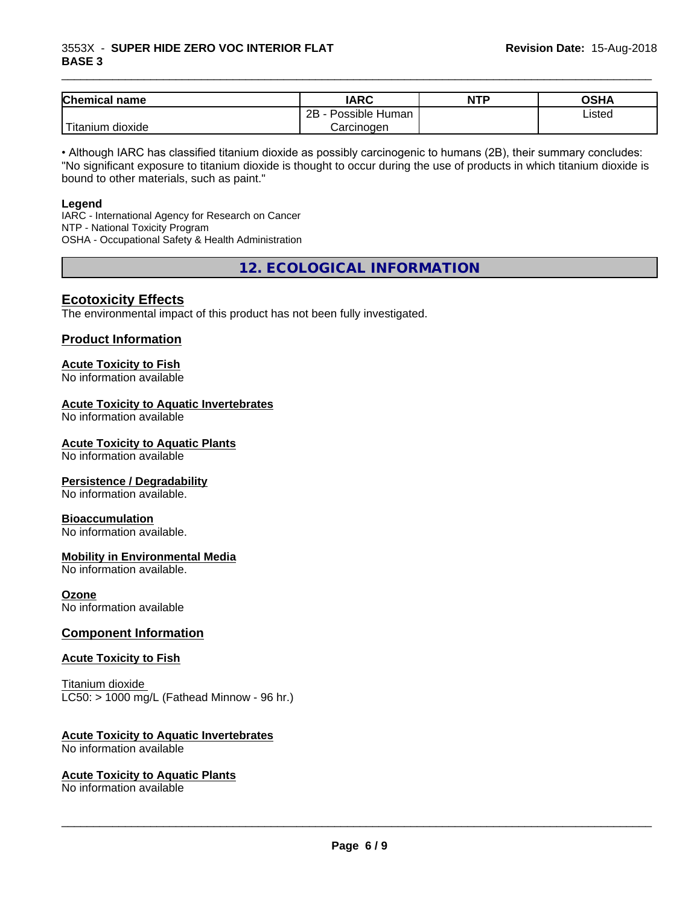#### 3553X - **SUPER HIDE ZERO VOC INTERIOR FLAT BASE 3**

| <b>Chemical</b><br>name                                                                                                                         | <b>IARC</b>          | <b>NTP</b> | <b>OSHA</b> |
|-------------------------------------------------------------------------------------------------------------------------------------------------|----------------------|------------|-------------|
|                                                                                                                                                 | Possible Human<br>2B |            | Listed      |
| <b>The Contract of the Contract of the Contract of the Contract of the Contract of the Contract of the Contract o</b><br>n dioxide<br>l itanıum | Carcinoɑen           |            |             |

\_\_\_\_\_\_\_\_\_\_\_\_\_\_\_\_\_\_\_\_\_\_\_\_\_\_\_\_\_\_\_\_\_\_\_\_\_\_\_\_\_\_\_\_\_\_\_\_\_\_\_\_\_\_\_\_\_\_\_\_\_\_\_\_\_\_\_\_\_\_\_\_\_\_\_\_\_\_\_\_\_\_\_\_\_\_\_\_\_\_\_\_\_

• Although IARC has classified titanium dioxide as possibly carcinogenic to humans (2B), their summary concludes: "No significant exposure to titanium dioxide is thought to occur during the use of products in which titanium dioxide is bound to other materials, such as paint."

#### **Legend**

IARC - International Agency for Research on Cancer NTP - National Toxicity Program OSHA - Occupational Safety & Health Administration

**12. ECOLOGICAL INFORMATION**

#### **Ecotoxicity Effects**

The environmental impact of this product has not been fully investigated.

#### **Product Information**

# **Acute Toxicity to Fish**

No information available

#### **Acute Toxicity to Aquatic Invertebrates**

No information available

#### **Acute Toxicity to Aquatic Plants**

No information available

#### **Persistence / Degradability**

No information available.

#### **Bioaccumulation**

No information available.

#### **Mobility in Environmental Media**

No information available.

#### **Ozone**

No information available

#### **Component Information**

#### **Acute Toxicity to Fish**

Titanium dioxide  $LC50:$  > 1000 mg/L (Fathead Minnow - 96 hr.)

#### **Acute Toxicity to Aquatic Invertebrates**

No information available

#### **Acute Toxicity to Aquatic Plants**

No information available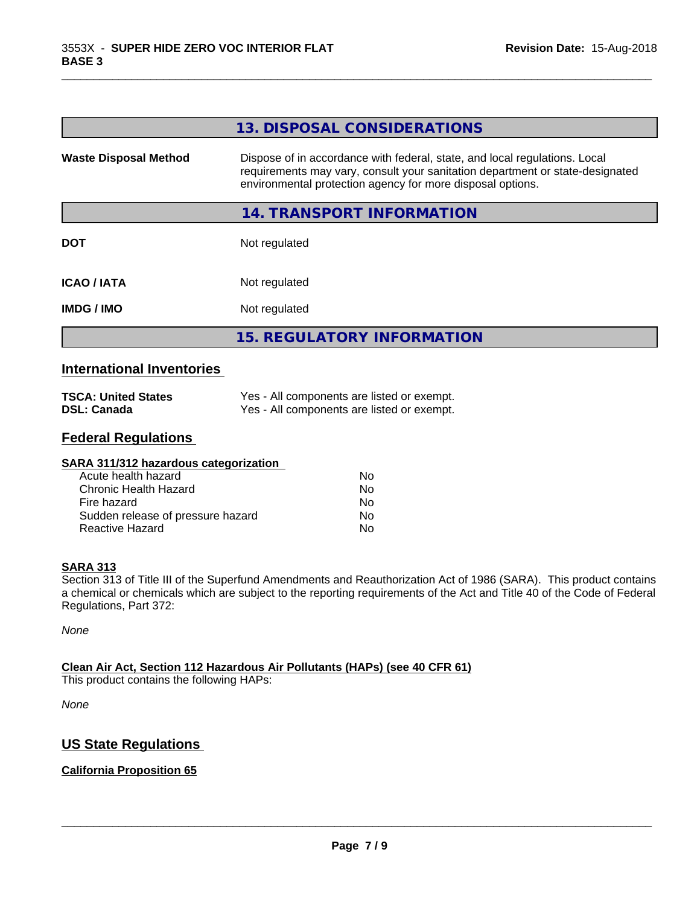|                              | 13. DISPOSAL CONSIDERATIONS                                                                                                                                                                                               |
|------------------------------|---------------------------------------------------------------------------------------------------------------------------------------------------------------------------------------------------------------------------|
| <b>Waste Disposal Method</b> | Dispose of in accordance with federal, state, and local regulations. Local<br>requirements may vary, consult your sanitation department or state-designated<br>environmental protection agency for more disposal options. |
|                              | 14. TRANSPORT INFORMATION                                                                                                                                                                                                 |
| <b>DOT</b>                   | Not regulated                                                                                                                                                                                                             |
| <b>ICAO / IATA</b>           | Not regulated                                                                                                                                                                                                             |
| <b>IMDG/IMO</b>              | Not regulated                                                                                                                                                                                                             |
|                              | <b>15. REGULATORY INFORMATION</b>                                                                                                                                                                                         |
| .                            |                                                                                                                                                                                                                           |

\_\_\_\_\_\_\_\_\_\_\_\_\_\_\_\_\_\_\_\_\_\_\_\_\_\_\_\_\_\_\_\_\_\_\_\_\_\_\_\_\_\_\_\_\_\_\_\_\_\_\_\_\_\_\_\_\_\_\_\_\_\_\_\_\_\_\_\_\_\_\_\_\_\_\_\_\_\_\_\_\_\_\_\_\_\_\_\_\_\_\_\_\_

## **International Inventories**

| <b>TSCA: United States</b> | Yes - All components are listed or exempt. |
|----------------------------|--------------------------------------------|
| <b>DSL: Canada</b>         | Yes - All components are listed or exempt. |

# **Federal Regulations**

| SARA 311/312 hazardous categorization |    |  |
|---------------------------------------|----|--|
| Acute health hazard                   | Nο |  |
| Chronic Health Hazard                 | No |  |
| Fire hazard                           | No |  |
| Sudden release of pressure hazard     | No |  |
| Reactive Hazard                       | No |  |

#### **SARA 313**

Section 313 of Title III of the Superfund Amendments and Reauthorization Act of 1986 (SARA). This product contains a chemical or chemicals which are subject to the reporting requirements of the Act and Title 40 of the Code of Federal Regulations, Part 372:

*None*

## **Clean Air Act,Section 112 Hazardous Air Pollutants (HAPs) (see 40 CFR 61)**

This product contains the following HAPs:

*None*

# **US State Regulations**

## **California Proposition 65**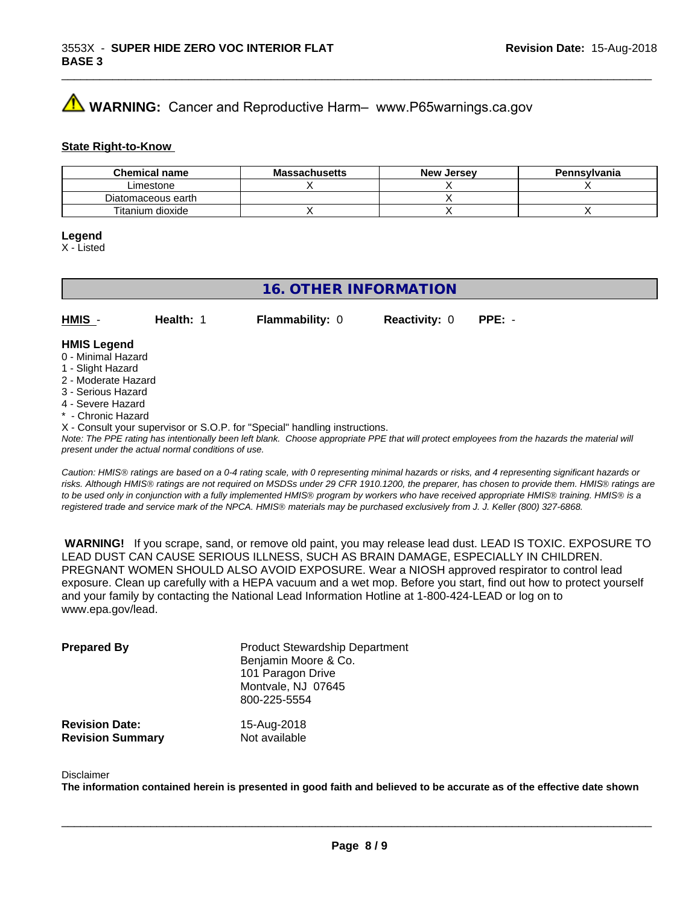# **WARNING:** Cancer and Reproductive Harm– www.P65warnings.ca.gov

#### **State Right-to-Know**

| <b>Chemical name</b> | <b>Massachusetts</b> | <b>New Jersey</b> | Pennsylvania |
|----------------------|----------------------|-------------------|--------------|
| Limestone            |                      |                   |              |
| Diatomaceous earth   |                      |                   |              |
| Titanium dioxide     |                      |                   |              |

#### **Legend**

X - Listed

# **16. OTHER INFORMATION**

**HMIS** - **Health:** 1 **Flammability:** 0 **Reactivity:** 0 **PPE:** -

#### **HMIS Legend**

- 0 Minimal Hazard
- 1 Slight Hazard
- 2 Moderate Hazard
- 3 Serious Hazard
- 4 Severe Hazard
- **Chronic Hazard**
- X Consult your supervisor or S.O.P. for "Special" handling instructions.

*Note: The PPE rating has intentionally been left blank. Choose appropriate PPE that will protect employees from the hazards the material will present under the actual normal conditions of use.*

*Caution: HMISÒ ratings are based on a 0-4 rating scale, with 0 representing minimal hazards or risks, and 4 representing significant hazards or risks. Although HMISÒ ratings are not required on MSDSs under 29 CFR 1910.1200, the preparer, has chosen to provide them. HMISÒ ratings are to be used only in conjunction with a fully implemented HMISÒ program by workers who have received appropriate HMISÒ training. HMISÒ is a registered trade and service mark of the NPCA. HMISÒ materials may be purchased exclusively from J. J. Keller (800) 327-6868.*

 **WARNING!** If you scrape, sand, or remove old paint, you may release lead dust. LEAD IS TOXIC. EXPOSURE TO LEAD DUST CAN CAUSE SERIOUS ILLNESS, SUCH AS BRAIN DAMAGE, ESPECIALLY IN CHILDREN. PREGNANT WOMEN SHOULD ALSO AVOID EXPOSURE.Wear a NIOSH approved respirator to control lead exposure. Clean up carefully with a HEPA vacuum and a wet mop. Before you start, find out how to protect yourself and your family by contacting the National Lead Information Hotline at 1-800-424-LEAD or log on to www.epa.gov/lead.

| <b>Prepared By</b>      | <b>Product Stewardship Department</b><br>Benjamin Moore & Co.<br>101 Paragon Drive<br>Montvale, NJ 07645<br>800-225-5554 |
|-------------------------|--------------------------------------------------------------------------------------------------------------------------|
| <b>Revision Date:</b>   | 15-Aug-2018                                                                                                              |
| <b>Revision Summary</b> | Not available                                                                                                            |

#### Disclaimer

The information contained herein is presented in good faith and believed to be accurate as of the effective date shown